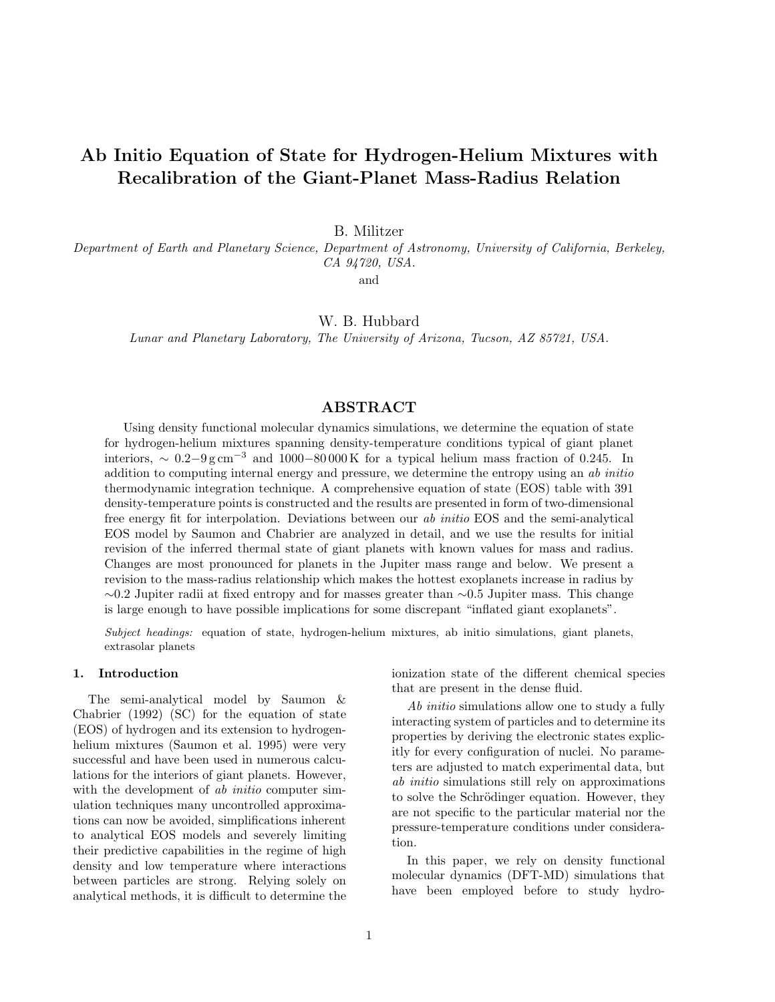# Ab Initio Equation of State for Hydrogen-Helium Mixtures with Recalibration of the Giant-Planet Mass-Radius Relation

B. Militzer

Department of Earth and Planetary Science, Department of Astronomy, University of California, Berkeley, CA 94720, USA.

and

W. B. Hubbard

Lunar and Planetary Laboratory, The University of Arizona, Tucson, AZ 85721, USA.

# ABSTRACT

Using density functional molecular dynamics simulations, we determine the equation of state for hydrogen-helium mixtures spanning density-temperature conditions typical of giant planet interiors,  $\sim 0.2-9 \,\mathrm{g \, cm^{-3}}$  and 1000–80 000 K for a typical helium mass fraction of 0.245. In addition to computing internal energy and pressure, we determine the entropy using an ab initio thermodynamic integration technique. A comprehensive equation of state (EOS) table with 391 density-temperature points is constructed and the results are presented in form of two-dimensional free energy fit for interpolation. Deviations between our ab initio EOS and the semi-analytical EOS model by Saumon and Chabrier are analyzed in detail, and we use the results for initial revision of the inferred thermal state of giant planets with known values for mass and radius. Changes are most pronounced for planets in the Jupiter mass range and below. We present a revision to the mass-radius relationship which makes the hottest exoplanets increase in radius by  $\sim$ 0.2 Jupiter radii at fixed entropy and for masses greater than  $\sim$ 0.5 Jupiter mass. This change is large enough to have possible implications for some discrepant "inflated giant exoplanets".

Subject headings: equation of state, hydrogen-helium mixtures, ab initio simulations, giant planets, extrasolar planets

## 1. Introduction

The semi-analytical model by Saumon & Chabrier (1992) (SC) for the equation of state (EOS) of hydrogen and its extension to hydrogenhelium mixtures (Saumon et al. 1995) were very successful and have been used in numerous calculations for the interiors of giant planets. However, with the development of *ab initio* computer simulation techniques many uncontrolled approximations can now be avoided, simplifications inherent to analytical EOS models and severely limiting their predictive capabilities in the regime of high density and low temperature where interactions between particles are strong. Relying solely on analytical methods, it is difficult to determine the ionization state of the different chemical species that are present in the dense fluid.

Ab *initio* simulations allow one to study a fully interacting system of particles and to determine its properties by deriving the electronic states explicitly for every configuration of nuclei. No parameters are adjusted to match experimental data, but ab initio simulations still rely on approximations to solve the Schrödinger equation. However, they are not specific to the particular material nor the pressure-temperature conditions under consideration.

In this paper, we rely on density functional molecular dynamics (DFT-MD) simulations that have been employed before to study hydro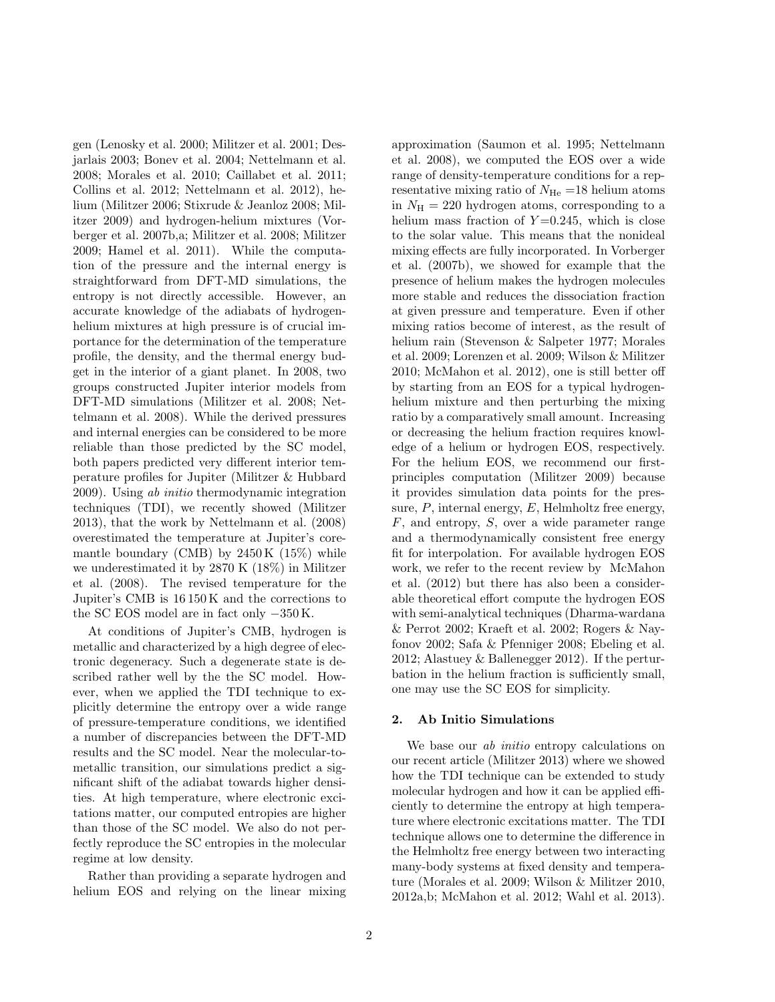gen (Lenosky et al. 2000; Militzer et al. 2001; Desjarlais 2003; Bonev et al. 2004; Nettelmann et al. 2008; Morales et al. 2010; Caillabet et al. 2011; Collins et al. 2012; Nettelmann et al. 2012), helium (Militzer 2006; Stixrude & Jeanloz 2008; Militzer 2009) and hydrogen-helium mixtures (Vorberger et al. 2007b,a; Militzer et al. 2008; Militzer 2009; Hamel et al. 2011). While the computation of the pressure and the internal energy is straightforward from DFT-MD simulations, the entropy is not directly accessible. However, an accurate knowledge of the adiabats of hydrogenhelium mixtures at high pressure is of crucial importance for the determination of the temperature profile, the density, and the thermal energy budget in the interior of a giant planet. In 2008, two groups constructed Jupiter interior models from DFT-MD simulations (Militzer et al. 2008; Nettelmann et al. 2008). While the derived pressures and internal energies can be considered to be more reliable than those predicted by the SC model, both papers predicted very different interior temperature profiles for Jupiter (Militzer & Hubbard 2009). Using ab initio thermodynamic integration techniques (TDI), we recently showed (Militzer 2013), that the work by Nettelmann et al. (2008) overestimated the temperature at Jupiter's coremantle boundary (CMB) by  $2450 \text{ K}$  (15%) while we underestimated it by 2870 K (18%) in Militzer et al. (2008). The revised temperature for the Jupiter's CMB is 16 150 K and the corrections to the SC EOS model are in fact only −350 K.

At conditions of Jupiter's CMB, hydrogen is metallic and characterized by a high degree of electronic degeneracy. Such a degenerate state is described rather well by the the SC model. However, when we applied the TDI technique to explicitly determine the entropy over a wide range of pressure-temperature conditions, we identified a number of discrepancies between the DFT-MD results and the SC model. Near the molecular-tometallic transition, our simulations predict a significant shift of the adiabat towards higher densities. At high temperature, where electronic excitations matter, our computed entropies are higher than those of the SC model. We also do not perfectly reproduce the SC entropies in the molecular regime at low density.

Rather than providing a separate hydrogen and helium EOS and relying on the linear mixing approximation (Saumon et al. 1995; Nettelmann et al. 2008), we computed the EOS over a wide range of density-temperature conditions for a representative mixing ratio of  $N_{\text{He}}$  =18 helium atoms in  $N_{\rm H} = 220$  hydrogen atoms, corresponding to a helium mass fraction of  $Y=0.245$ , which is close to the solar value. This means that the nonideal mixing effects are fully incorporated. In Vorberger et al. (2007b), we showed for example that the presence of helium makes the hydrogen molecules more stable and reduces the dissociation fraction at given pressure and temperature. Even if other mixing ratios become of interest, as the result of helium rain (Stevenson & Salpeter 1977; Morales et al. 2009; Lorenzen et al. 2009; Wilson & Militzer 2010; McMahon et al. 2012), one is still better off by starting from an EOS for a typical hydrogenhelium mixture and then perturbing the mixing ratio by a comparatively small amount. Increasing or decreasing the helium fraction requires knowledge of a helium or hydrogen EOS, respectively. For the helium EOS, we recommend our firstprinciples computation (Militzer 2009) because it provides simulation data points for the pressure,  $P$ , internal energy,  $E$ , Helmholtz free energy,  $F$ , and entropy,  $S$ , over a wide parameter range and a thermodynamically consistent free energy fit for interpolation. For available hydrogen EOS work, we refer to the recent review by McMahon et al. (2012) but there has also been a considerable theoretical effort compute the hydrogen EOS with semi-analytical techniques (Dharma-wardana & Perrot 2002; Kraeft et al. 2002; Rogers & Nayfonov 2002; Safa & Pfenniger 2008; Ebeling et al. 2012; Alastuey & Ballenegger 2012). If the perturbation in the helium fraction is sufficiently small, one may use the SC EOS for simplicity.

# 2. Ab Initio Simulations

We base our *ab initio* entropy calculations on our recent article (Militzer 2013) where we showed how the TDI technique can be extended to study molecular hydrogen and how it can be applied efficiently to determine the entropy at high temperature where electronic excitations matter. The TDI technique allows one to determine the difference in the Helmholtz free energy between two interacting many-body systems at fixed density and temperature (Morales et al. 2009; Wilson & Militzer 2010, 2012a,b; McMahon et al. 2012; Wahl et al. 2013).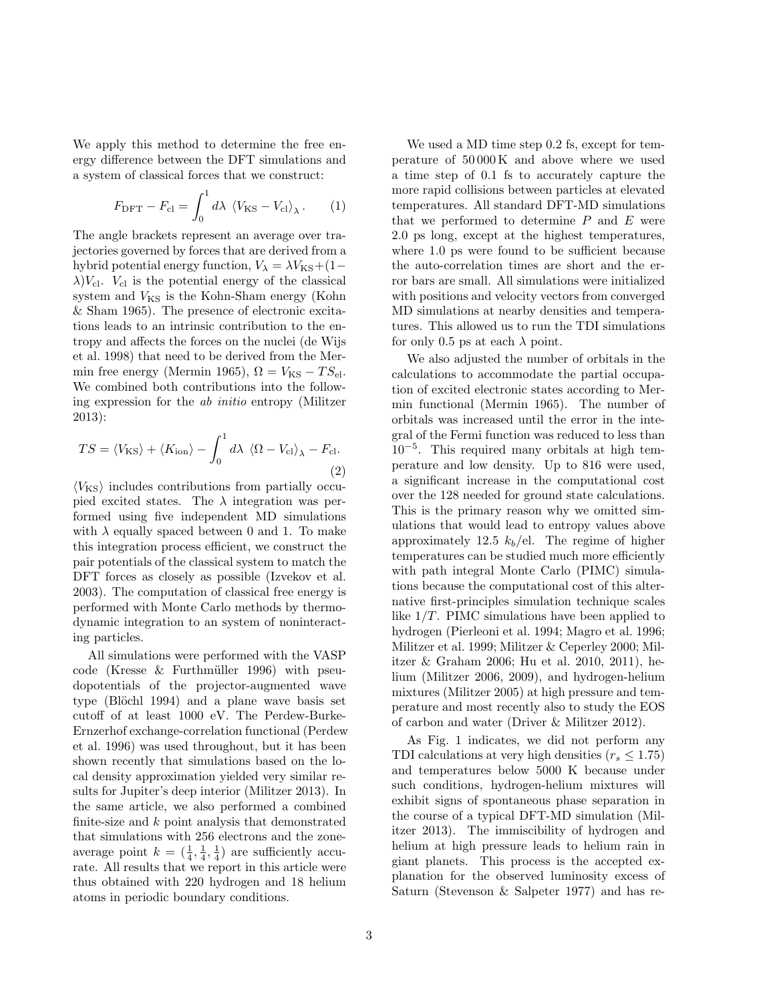We apply this method to determine the free energy difference between the DFT simulations and a system of classical forces that we construct:

$$
F_{\rm DFT} - F_{\rm cl} = \int_0^1 d\lambda \, \left\langle V_{\rm KS} - V_{\rm cl} \right\rangle_{\lambda} . \qquad (1)
$$

The angle brackets represent an average over trajectories governed by forces that are derived from a hybrid potential energy function,  $V_{\lambda} = \lambda V_{\text{KS}} + (1 \lambda$ ) $V_{\text{cl}}$ .  $V_{\text{cl}}$  is the potential energy of the classical system and  $V_{\text{KS}}$  is the Kohn-Sham energy (Kohn & Sham 1965). The presence of electronic excitations leads to an intrinsic contribution to the entropy and affects the forces on the nuclei (de Wijs et al. 1998) that need to be derived from the Mermin free energy (Mermin 1965),  $\Omega = V_{\text{KS}} - TS_{\text{el}}$ . We combined both contributions into the following expression for the ab initio entropy (Militzer 2013):

$$
TS = \langle V_{\rm KS} \rangle + \langle K_{\rm ion} \rangle - \int_0^1 d\lambda \langle \Omega - V_{\rm cl} \rangle_{\lambda} - F_{\rm cl}.
$$
\n(2)

 $\langle V_{\rm KS} \rangle$  includes contributions from partially occupied excited states. The  $\lambda$  integration was performed using five independent MD simulations with  $\lambda$  equally spaced between 0 and 1. To make this integration process efficient, we construct the pair potentials of the classical system to match the DFT forces as closely as possible (Izvekov et al. 2003). The computation of classical free energy is performed with Monte Carlo methods by thermodynamic integration to an system of noninteracting particles.

All simulations were performed with the VASP code (Kresse  $\&$  Furthmüller 1996) with pseudopotentials of the projector-augmented wave type (Blöchl 1994) and a plane wave basis set cutoff of at least 1000 eV. The Perdew-Burke-Ernzerhof exchange-correlation functional (Perdew et al. 1996) was used throughout, but it has been shown recently that simulations based on the local density approximation yielded very similar results for Jupiter's deep interior (Militzer 2013). In the same article, we also performed a combined finite-size and  $k$  point analysis that demonstrated that simulations with 256 electrons and the zoneaverage point  $k = (\frac{1}{4}, \frac{1}{4}, \frac{1}{4})$  are sufficiently accurate. All results that we report in this article were thus obtained with 220 hydrogen and 18 helium atoms in periodic boundary conditions.

We used a MD time step 0.2 fs, except for temperature of 50 000 K and above where we used a time step of 0.1 fs to accurately capture the more rapid collisions between particles at elevated temperatures. All standard DFT-MD simulations that we performed to determine  $P$  and  $E$  were 2.0 ps long, except at the highest temperatures, where 1.0 ps were found to be sufficient because the auto-correlation times are short and the error bars are small. All simulations were initialized with positions and velocity vectors from converged MD simulations at nearby densities and temperatures. This allowed us to run the TDI simulations for only 0.5 ps at each  $\lambda$  point.

We also adjusted the number of orbitals in the calculations to accommodate the partial occupation of excited electronic states according to Mermin functional (Mermin 1965). The number of orbitals was increased until the error in the integral of the Fermi function was reduced to less than 10<sup>−</sup><sup>5</sup> . This required many orbitals at high temperature and low density. Up to 816 were used, a significant increase in the computational cost over the 128 needed for ground state calculations. This is the primary reason why we omitted simulations that would lead to entropy values above approximately 12.5  $k_b$ /el. The regime of higher temperatures can be studied much more efficiently with path integral Monte Carlo (PIMC) simulations because the computational cost of this alternative first-principles simulation technique scales like 1/T. PIMC simulations have been applied to hydrogen (Pierleoni et al. 1994; Magro et al. 1996; Militzer et al. 1999; Militzer & Ceperley 2000; Militzer & Graham 2006; Hu et al. 2010, 2011), helium (Militzer 2006, 2009), and hydrogen-helium mixtures (Militzer 2005) at high pressure and temperature and most recently also to study the EOS of carbon and water (Driver & Militzer 2012).

As Fig. 1 indicates, we did not perform any TDI calculations at very high densities ( $r_s \leq 1.75$ ) and temperatures below 5000 K because under such conditions, hydrogen-helium mixtures will exhibit signs of spontaneous phase separation in the course of a typical DFT-MD simulation (Militzer 2013). The immiscibility of hydrogen and helium at high pressure leads to helium rain in giant planets. This process is the accepted explanation for the observed luminosity excess of Saturn (Stevenson & Salpeter 1977) and has re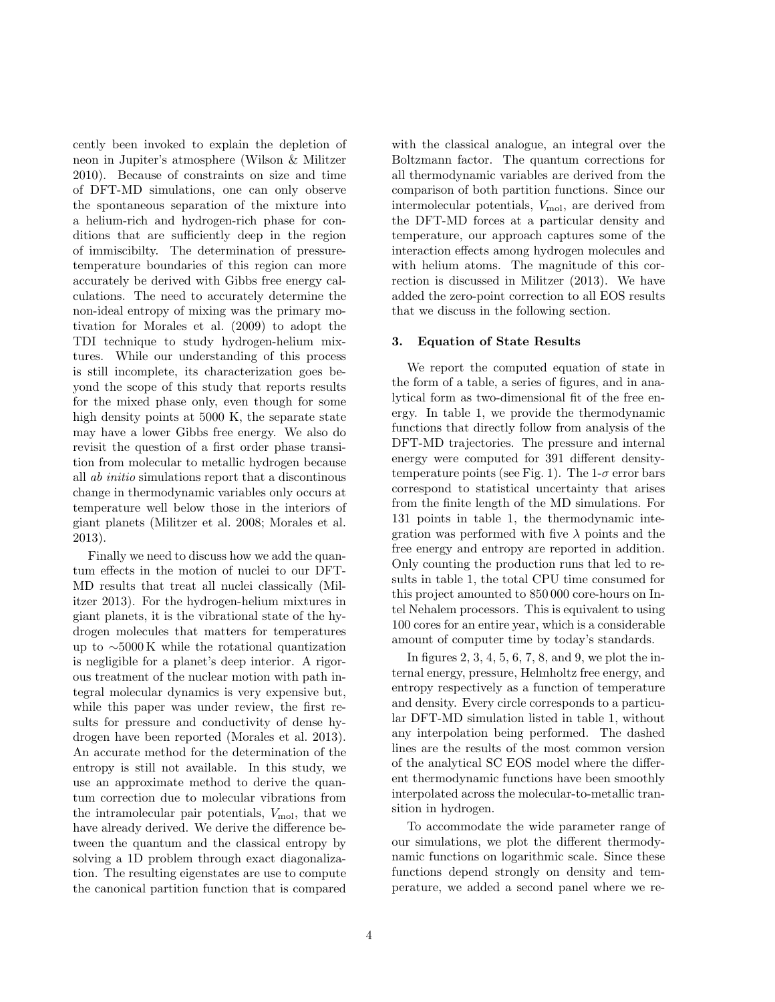cently been invoked to explain the depletion of neon in Jupiter's atmosphere (Wilson & Militzer 2010). Because of constraints on size and time of DFT-MD simulations, one can only observe the spontaneous separation of the mixture into a helium-rich and hydrogen-rich phase for conditions that are sufficiently deep in the region of immiscibilty. The determination of pressuretemperature boundaries of this region can more accurately be derived with Gibbs free energy calculations. The need to accurately determine the non-ideal entropy of mixing was the primary motivation for Morales et al. (2009) to adopt the TDI technique to study hydrogen-helium mixtures. While our understanding of this process is still incomplete, its characterization goes beyond the scope of this study that reports results for the mixed phase only, even though for some high density points at 5000 K, the separate state may have a lower Gibbs free energy. We also do revisit the question of a first order phase transition from molecular to metallic hydrogen because all ab initio simulations report that a discontinous change in thermodynamic variables only occurs at temperature well below those in the interiors of giant planets (Militzer et al. 2008; Morales et al. 2013).

Finally we need to discuss how we add the quantum effects in the motion of nuclei to our DFT-MD results that treat all nuclei classically (Militzer 2013). For the hydrogen-helium mixtures in giant planets, it is the vibrational state of the hydrogen molecules that matters for temperatures up to ∼5000 K while the rotational quantization is negligible for a planet's deep interior. A rigorous treatment of the nuclear motion with path integral molecular dynamics is very expensive but, while this paper was under review, the first results for pressure and conductivity of dense hydrogen have been reported (Morales et al. 2013). An accurate method for the determination of the entropy is still not available. In this study, we use an approximate method to derive the quantum correction due to molecular vibrations from the intramolecular pair potentials,  $V_{\text{mol}}$ , that we have already derived. We derive the difference between the quantum and the classical entropy by solving a 1D problem through exact diagonalization. The resulting eigenstates are use to compute the canonical partition function that is compared with the classical analogue, an integral over the Boltzmann factor. The quantum corrections for all thermodynamic variables are derived from the comparison of both partition functions. Since our intermolecular potentials,  $V_{\text{mol}}$ , are derived from the DFT-MD forces at a particular density and temperature, our approach captures some of the interaction effects among hydrogen molecules and with helium atoms. The magnitude of this correction is discussed in Militzer (2013). We have added the zero-point correction to all EOS results that we discuss in the following section.

## 3. Equation of State Results

We report the computed equation of state in the form of a table, a series of figures, and in analytical form as two-dimensional fit of the free energy. In table 1, we provide the thermodynamic functions that directly follow from analysis of the DFT-MD trajectories. The pressure and internal energy were computed for 391 different densitytemperature points (see Fig. 1). The 1- $\sigma$  error bars correspond to statistical uncertainty that arises from the finite length of the MD simulations. For 131 points in table 1, the thermodynamic integration was performed with five  $\lambda$  points and the free energy and entropy are reported in addition. Only counting the production runs that led to results in table 1, the total CPU time consumed for this project amounted to 850 000 core-hours on Intel Nehalem processors. This is equivalent to using 100 cores for an entire year, which is a considerable amount of computer time by today's standards.

In figures 2, 3, 4, 5, 6, 7, 8, and 9, we plot the internal energy, pressure, Helmholtz free energy, and entropy respectively as a function of temperature and density. Every circle corresponds to a particular DFT-MD simulation listed in table 1, without any interpolation being performed. The dashed lines are the results of the most common version of the analytical SC EOS model where the different thermodynamic functions have been smoothly interpolated across the molecular-to-metallic transition in hydrogen.

To accommodate the wide parameter range of our simulations, we plot the different thermodynamic functions on logarithmic scale. Since these functions depend strongly on density and temperature, we added a second panel where we re-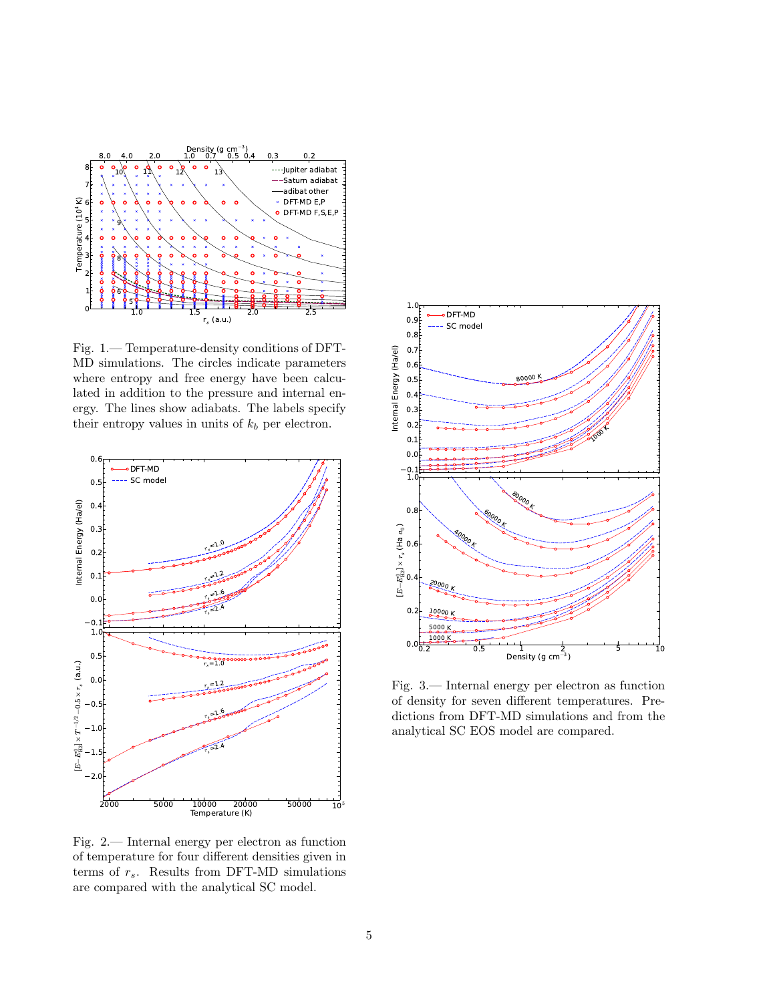

Fig. 1.— Temperature-density conditions of DFT-MD simulations. The circles indicate parameters where entropy and free energy have been calculated in addition to the pressure and internal energy. The lines show adiabats. The labels specify their entropy values in units of  $k_b$  per electron.



Fig. 2.— Internal energy per electron as function of temperature for four different densities given in terms of  $r_s$ . Results from DFT-MD simulations are compared with the analytical SC model.



Fig. 3.— Internal energy per electron as function of density for seven different temperatures. Predictions from DFT-MD simulations and from the analytical SC EOS model are compared.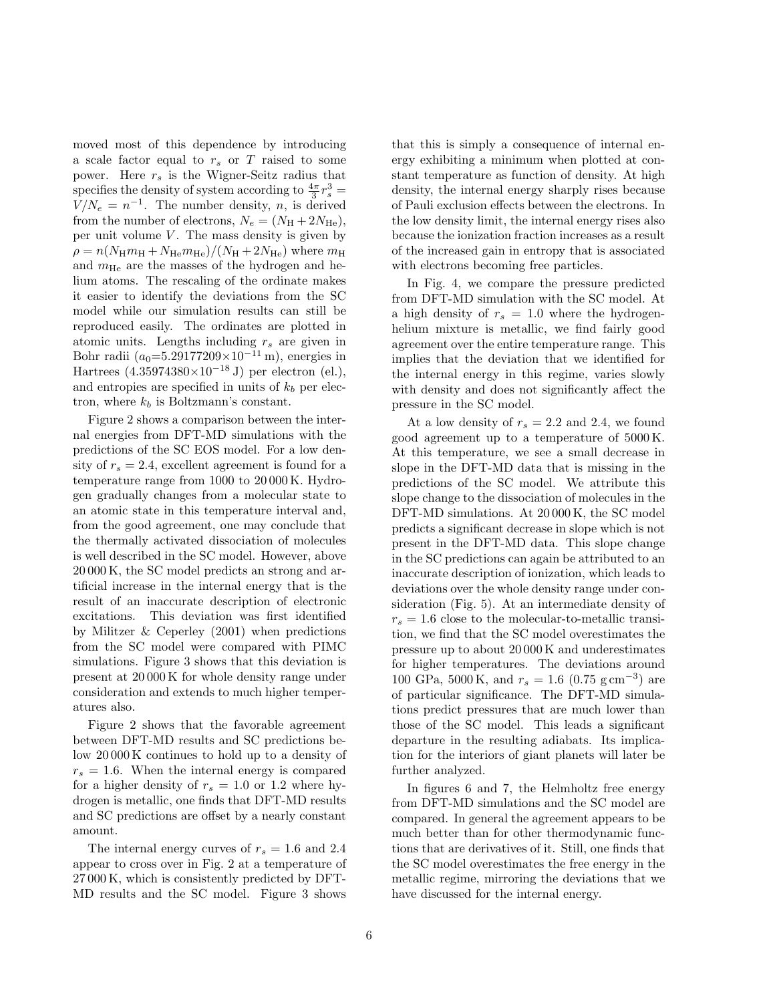moved most of this dependence by introducing a scale factor equal to  $r_s$  or  $T$  raised to some power. Here  $r_s$  is the Wigner-Seitz radius that specifies the density of system according to  $\frac{4\pi}{3}r_s^3$  =  $V/N_e = n^{-1}$ . The number density, n, is derived from the number of electrons,  $N_e = (N_H + 2N_{\text{He}})$ , per unit volume  $V$ . The mass density is given by  $\rho = n(N_H m_H + N_{\text{He}} m_{\text{He}})/(N_H + 2N_{\text{He}})$  where  $m_H$ and  $m_{\text{He}}$  are the masses of the hydrogen and helium atoms. The rescaling of the ordinate makes it easier to identify the deviations from the SC model while our simulation results can still be reproduced easily. The ordinates are plotted in atomic units. Lengths including  $r_s$  are given in Bohr radii ( $a_0$ =5.29177209×10<sup>-11</sup> m), energies in Hartrees  $(4.35974380\times10^{-18} \text{ J})$  per electron (el.), and entropies are specified in units of  $k_b$  per electron, where  $k_b$  is Boltzmann's constant.

Figure 2 shows a comparison between the internal energies from DFT-MD simulations with the predictions of the SC EOS model. For a low density of  $r_s = 2.4$ , excellent agreement is found for a temperature range from 1000 to 20 000 K. Hydrogen gradually changes from a molecular state to an atomic state in this temperature interval and, from the good agreement, one may conclude that the thermally activated dissociation of molecules is well described in the SC model. However, above 20 000 K, the SC model predicts an strong and artificial increase in the internal energy that is the result of an inaccurate description of electronic excitations. This deviation was first identified by Militzer & Ceperley (2001) when predictions from the SC model were compared with PIMC simulations. Figure 3 shows that this deviation is present at 20 000 K for whole density range under consideration and extends to much higher temperatures also.

Figure 2 shows that the favorable agreement between DFT-MD results and SC predictions below 20 000 K continues to hold up to a density of  $r_s = 1.6$ . When the internal energy is compared for a higher density of  $r_s = 1.0$  or 1.2 where hydrogen is metallic, one finds that DFT-MD results and SC predictions are offset by a nearly constant amount.

The internal energy curves of  $r_s = 1.6$  and 2.4 appear to cross over in Fig. 2 at a temperature of 27 000 K, which is consistently predicted by DFT-MD results and the SC model. Figure 3 shows that this is simply a consequence of internal energy exhibiting a minimum when plotted at constant temperature as function of density. At high density, the internal energy sharply rises because of Pauli exclusion effects between the electrons. In the low density limit, the internal energy rises also because the ionization fraction increases as a result of the increased gain in entropy that is associated with electrons becoming free particles.

In Fig. 4, we compare the pressure predicted from DFT-MD simulation with the SC model. At a high density of  $r_s = 1.0$  where the hydrogenhelium mixture is metallic, we find fairly good agreement over the entire temperature range. This implies that the deviation that we identified for the internal energy in this regime, varies slowly with density and does not significantly affect the pressure in the SC model.

At a low density of  $r_s = 2.2$  and 2.4, we found good agreement up to a temperature of 5000 K. At this temperature, we see a small decrease in slope in the DFT-MD data that is missing in the predictions of the SC model. We attribute this slope change to the dissociation of molecules in the DFT-MD simulations. At 20 000 K, the SC model predicts a significant decrease in slope which is not present in the DFT-MD data. This slope change in the SC predictions can again be attributed to an inaccurate description of ionization, which leads to deviations over the whole density range under consideration (Fig. 5). At an intermediate density of  $r_s = 1.6$  close to the molecular-to-metallic transition, we find that the SC model overestimates the pressure up to about 20 000 K and underestimates for higher temperatures. The deviations around 100 GPa, 5000 K, and  $r_s = 1.6 (0.75 \text{ g cm}^{-3})$  are of particular significance. The DFT-MD simulations predict pressures that are much lower than those of the SC model. This leads a significant departure in the resulting adiabats. Its implication for the interiors of giant planets will later be further analyzed.

In figures 6 and 7, the Helmholtz free energy from DFT-MD simulations and the SC model are compared. In general the agreement appears to be much better than for other thermodynamic functions that are derivatives of it. Still, one finds that the SC model overestimates the free energy in the metallic regime, mirroring the deviations that we have discussed for the internal energy.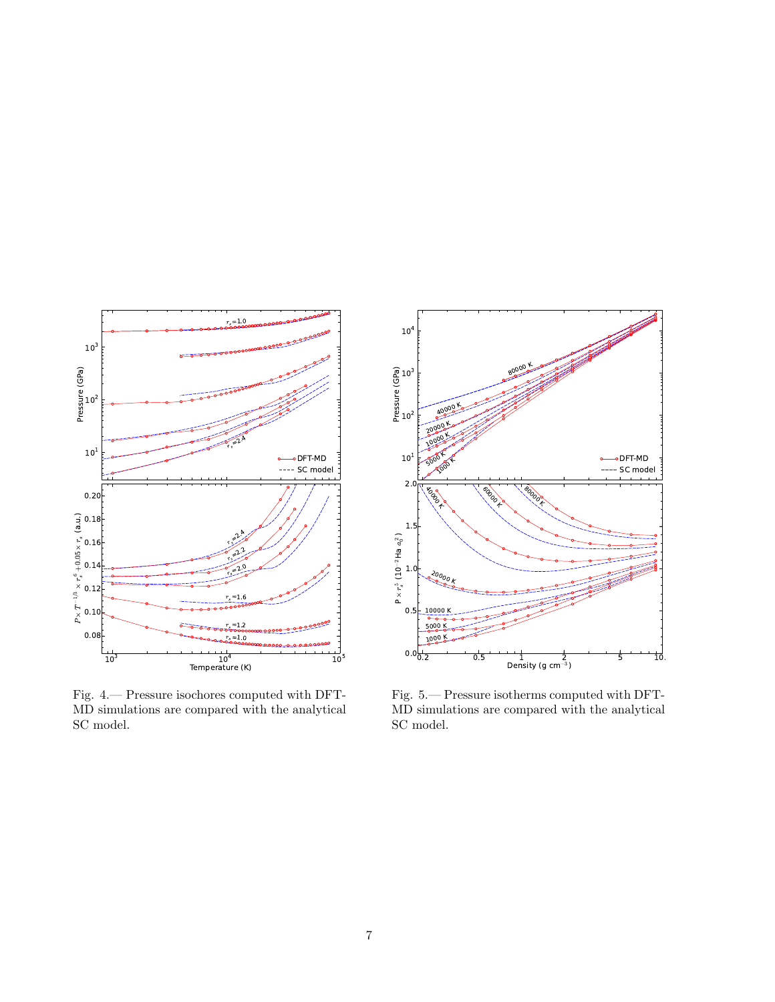

Fig. 4.— Pressure isochores computed with DFT-MD simulations are compared with the analytical SC model.



Fig. 5.— Pressure isotherms computed with DFT-MD simulations are compared with the analytical SC model.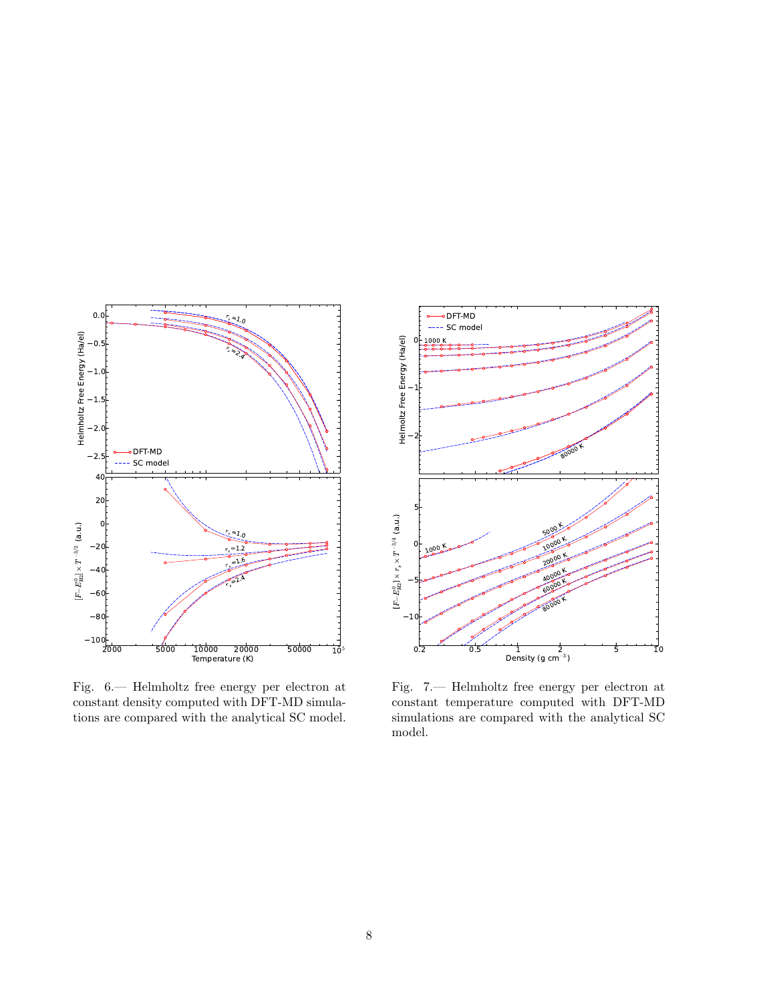

Fig. 6.— Helmholtz free energy per electron at constant density computed with DFT-MD simulations are compared with the analytical SC model.



Fig. 7.— Helmholtz free energy per electron at constant temperature computed with DFT-MD simulations are compared with the analytical SC model.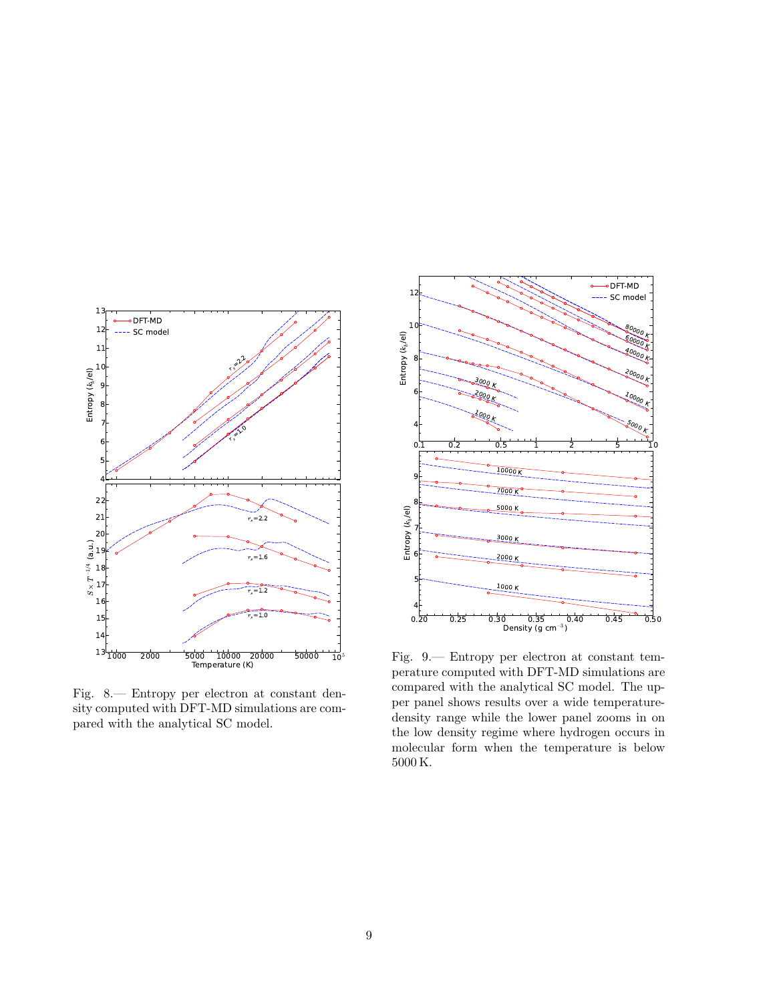

Fig. 8.— Entropy per electron at constant density computed with DFT-MD simulations are compared with the analytical SC model.



Fig. 9.— Entropy per electron at constant temperature computed with DFT-MD simulations are compared with the analytical SC model. The upper panel shows results over a wide temperaturedensity range while the lower panel zooms in on the low density regime where hydrogen occurs in molecular form when the temperature is below 5000 K.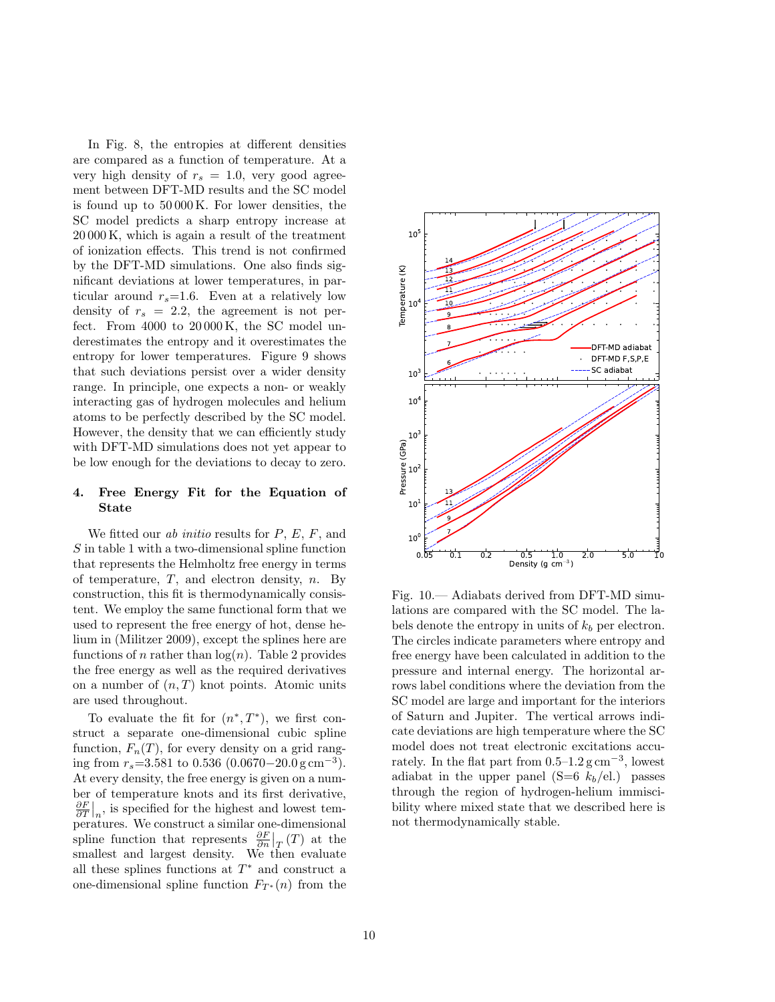In Fig. 8, the entropies at different densities are compared as a function of temperature. At a very high density of  $r_s = 1.0$ , very good agreement between DFT-MD results and the SC model is found up to 50 000 K. For lower densities, the SC model predicts a sharp entropy increase at 20 000 K, which is again a result of the treatment of ionization effects. This trend is not confirmed by the DFT-MD simulations. One also finds significant deviations at lower temperatures, in particular around  $r_s$ =1.6. Even at a relatively low density of  $r_s = 2.2$ , the agreement is not perfect. From 4000 to 20 000 K, the SC model underestimates the entropy and it overestimates the entropy for lower temperatures. Figure 9 shows that such deviations persist over a wider density range. In principle, one expects a non- or weakly interacting gas of hydrogen molecules and helium atoms to be perfectly described by the SC model. However, the density that we can efficiently study with DFT-MD simulations does not yet appear to be low enough for the deviations to decay to zero.

# 4. Free Energy Fit for the Equation of State

We fitted our *ab initio* results for  $P$ ,  $E$ ,  $F$ , and  $S$  in table 1 with a two-dimensional spline function that represents the Helmholtz free energy in terms of temperature,  $T$ , and electron density,  $n$ . By construction, this fit is thermodynamically consistent. We employ the same functional form that we used to represent the free energy of hot, dense helium in (Militzer 2009), except the splines here are functions of n rather than  $log(n)$ . Table 2 provides the free energy as well as the required derivatives on a number of  $(n, T)$  knot points. Atomic units are used throughout.

To evaluate the fit for  $(n^*,T^*)$ , we first construct a separate one-dimensional cubic spline function,  $F_n(T)$ , for every density on a grid ranging from  $r_s = 3.581$  to 0.536 (0.0670–20.0 g cm<sup>-3</sup>). At every density, the free energy is given on a number of temperature knots and its first derivative,  $\frac{\partial F}{\partial T}\Big|_n$ , is specified for the highest and lowest temperatures. We construct a similar one-dimensional spline function that represents  $\frac{\partial F}{\partial n}|_T(T)$  at the smallest and largest density. We then evaluate all these splines functions at  $T^*$  and construct a one-dimensional spline function  $F_{T^*}(n)$  from the



Fig. 10.— Adiabats derived from DFT-MD simulations are compared with the SC model. The labels denote the entropy in units of  $k_b$  per electron. The circles indicate parameters where entropy and free energy have been calculated in addition to the pressure and internal energy. The horizontal arrows label conditions where the deviation from the SC model are large and important for the interiors of Saturn and Jupiter. The vertical arrows indicate deviations are high temperature where the SC model does not treat electronic excitations accurately. In the flat part from  $0.5$ – $1.2 \text{ g cm}^{-3}$ , lowest adiabat in the upper panel  $(S=6 k_b/el.)$  passes through the region of hydrogen-helium immiscibility where mixed state that we described here is not thermodynamically stable.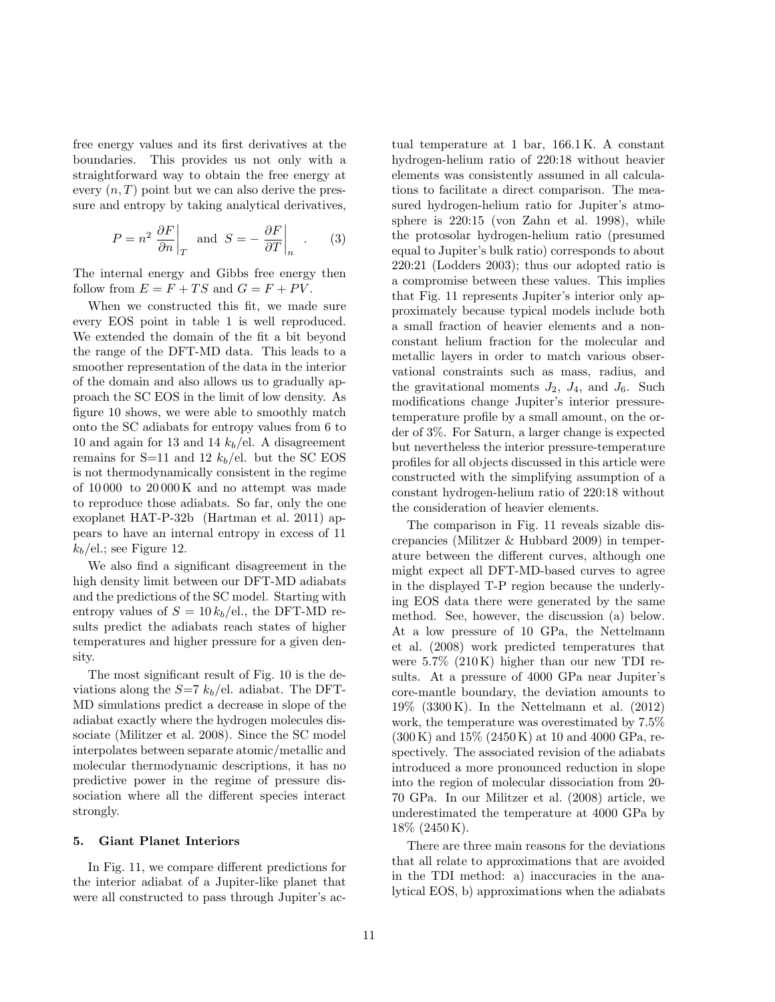free energy values and its first derivatives at the boundaries. This provides us not only with a straightforward way to obtain the free energy at every  $(n, T)$  point but we can also derive the pressure and entropy by taking analytical derivatives,

$$
P = n^2 \left. \frac{\partial F}{\partial n} \right|_T \quad \text{and} \quad S = -\left. \frac{\partial F}{\partial T} \right|_n \quad . \tag{3}
$$

The internal energy and Gibbs free energy then follow from  $E = F + TS$  and  $G = F + PV$ .

When we constructed this fit, we made sure every EOS point in table 1 is well reproduced. We extended the domain of the fit a bit beyond the range of the DFT-MD data. This leads to a smoother representation of the data in the interior of the domain and also allows us to gradually approach the SC EOS in the limit of low density. As figure 10 shows, we were able to smoothly match onto the SC adiabats for entropy values from 6 to 10 and again for 13 and 14  $k_b$ /el. A disagreement remains for S=11 and 12  $k_b$ /el. but the SC EOS is not thermodynamically consistent in the regime of 10 000 to 20 000 K and no attempt was made to reproduce those adiabats. So far, only the one exoplanet HAT-P-32b (Hartman et al. 2011) appears to have an internal entropy in excess of 11  $k_b$ /el.; see Figure 12.

We also find a significant disagreement in the high density limit between our DFT-MD adiabats and the predictions of the SC model. Starting with entropy values of  $S = 10 k_b/e$ l., the DFT-MD results predict the adiabats reach states of higher temperatures and higher pressure for a given density.

The most significant result of Fig. 10 is the deviations along the  $S=7 k_b/e$ l. adiabat. The DFT-MD simulations predict a decrease in slope of the adiabat exactly where the hydrogen molecules dissociate (Militzer et al. 2008). Since the SC model interpolates between separate atomic/metallic and molecular thermodynamic descriptions, it has no predictive power in the regime of pressure dissociation where all the different species interact strongly.

#### 5. Giant Planet Interiors

In Fig. 11, we compare different predictions for the interior adiabat of a Jupiter-like planet that were all constructed to pass through Jupiter's actual temperature at 1 bar, 166.1 K. A constant hydrogen-helium ratio of 220:18 without heavier elements was consistently assumed in all calculations to facilitate a direct comparison. The measured hydrogen-helium ratio for Jupiter's atmosphere is 220:15 (von Zahn et al. 1998), while the protosolar hydrogen-helium ratio (presumed equal to Jupiter's bulk ratio) corresponds to about 220:21 (Lodders 2003); thus our adopted ratio is a compromise between these values. This implies that Fig. 11 represents Jupiter's interior only approximately because typical models include both a small fraction of heavier elements and a nonconstant helium fraction for the molecular and metallic layers in order to match various observational constraints such as mass, radius, and the gravitational moments  $J_2$ ,  $J_4$ , and  $J_6$ . Such modifications change Jupiter's interior pressuretemperature profile by a small amount, on the order of 3%. For Saturn, a larger change is expected but nevertheless the interior pressure-temperature profiles for all objects discussed in this article were constructed with the simplifying assumption of a constant hydrogen-helium ratio of 220:18 without the consideration of heavier elements.

The comparison in Fig. 11 reveals sizable discrepancies (Militzer & Hubbard 2009) in temperature between the different curves, although one might expect all DFT-MD-based curves to agree in the displayed T-P region because the underlying EOS data there were generated by the same method. See, however, the discussion (a) below. At a low pressure of 10 GPa, the Nettelmann et al. (2008) work predicted temperatures that were  $5.7\%$  (210 K) higher than our new TDI results. At a pressure of 4000 GPa near Jupiter's core-mantle boundary, the deviation amounts to 19% (3300 K). In the Nettelmann et al. (2012) work, the temperature was overestimated by 7.5%  $(300 \text{ K})$  and  $15\%$   $(2450 \text{ K})$  at 10 and 4000 GPa, respectively. The associated revision of the adiabats introduced a more pronounced reduction in slope into the region of molecular dissociation from 20- 70 GPa. In our Militzer et al. (2008) article, we underestimated the temperature at 4000 GPa by 18% (2450 K).

There are three main reasons for the deviations that all relate to approximations that are avoided in the TDI method: a) inaccuracies in the analytical EOS, b) approximations when the adiabats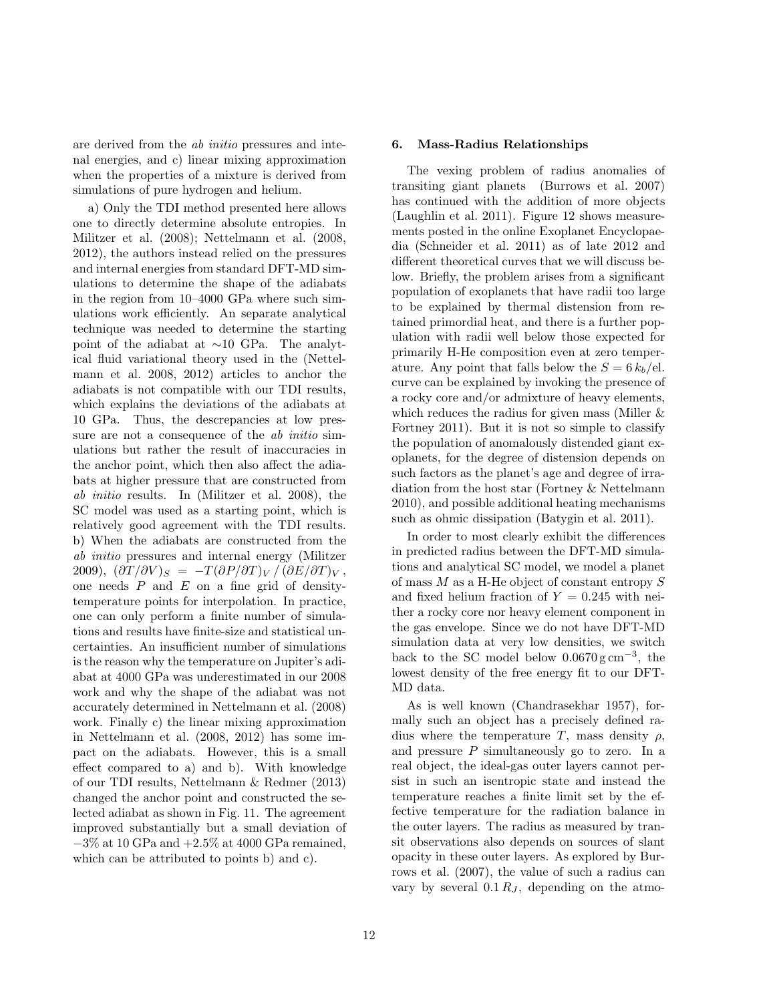are derived from the ab initio pressures and intenal energies, and c) linear mixing approximation when the properties of a mixture is derived from simulations of pure hydrogen and helium.

a) Only the TDI method presented here allows one to directly determine absolute entropies. In Militzer et al. (2008); Nettelmann et al. (2008, 2012), the authors instead relied on the pressures and internal energies from standard DFT-MD simulations to determine the shape of the adiabats in the region from 10–4000 GPa where such simulations work efficiently. An separate analytical technique was needed to determine the starting point of the adiabat at ∼10 GPa. The analytical fluid variational theory used in the (Nettelmann et al. 2008, 2012) articles to anchor the adiabats is not compatible with our TDI results, which explains the deviations of the adiabats at 10 GPa. Thus, the descrepancies at low pressure are not a consequence of the *ab initio* simulations but rather the result of inaccuracies in the anchor point, which then also affect the adiabats at higher pressure that are constructed from ab initio results. In (Militzer et al. 2008), the SC model was used as a starting point, which is relatively good agreement with the TDI results. b) When the adiabats are constructed from the ab initio pressures and internal energy (Militzer 2009),  $(\partial T/\partial V)_S = -T(\partial P/\partial T)_V/(\partial E/\partial T)_V$ , one needs  $P$  and  $E$  on a fine grid of densitytemperature points for interpolation. In practice, one can only perform a finite number of simulations and results have finite-size and statistical uncertainties. An insufficient number of simulations is the reason why the temperature on Jupiter's adiabat at 4000 GPa was underestimated in our 2008 work and why the shape of the adiabat was not accurately determined in Nettelmann et al. (2008) work. Finally c) the linear mixing approximation in Nettelmann et al. (2008, 2012) has some impact on the adiabats. However, this is a small effect compared to a) and b). With knowledge of our TDI results, Nettelmann & Redmer (2013) changed the anchor point and constructed the selected adiabat as shown in Fig. 11. The agreement improved substantially but a small deviation of  $-3\%$  at 10 GPa and  $+2.5\%$  at 4000 GPa remained, which can be attributed to points b) and c).

#### 6. Mass-Radius Relationships

The vexing problem of radius anomalies of transiting giant planets (Burrows et al. 2007) has continued with the addition of more objects (Laughlin et al. 2011). Figure 12 shows measurements posted in the online Exoplanet Encyclopaedia (Schneider et al. 2011) as of late 2012 and different theoretical curves that we will discuss below. Briefly, the problem arises from a significant population of exoplanets that have radii too large to be explained by thermal distension from retained primordial heat, and there is a further population with radii well below those expected for primarily H-He composition even at zero temperature. Any point that falls below the  $S = 6 k_b/e$ . curve can be explained by invoking the presence of a rocky core and/or admixture of heavy elements, which reduces the radius for given mass (Miller & Fortney 2011). But it is not so simple to classify the population of anomalously distended giant exoplanets, for the degree of distension depends on such factors as the planet's age and degree of irradiation from the host star (Fortney & Nettelmann 2010), and possible additional heating mechanisms such as ohmic dissipation (Batygin et al. 2011).

In order to most clearly exhibit the differences in predicted radius between the DFT-MD simulations and analytical SC model, we model a planet of mass  $M$  as a H-He object of constant entropy  $S$ and fixed helium fraction of  $Y = 0.245$  with neither a rocky core nor heavy element component in the gas envelope. Since we do not have DFT-MD simulation data at very low densities, we switch back to the SC model below  $0.0670 \text{ g cm}^{-3}$ , the lowest density of the free energy fit to our DFT-MD data.

As is well known (Chandrasekhar 1957), formally such an object has a precisely defined radius where the temperature T, mass density  $\rho$ , and pressure  $P$  simultaneously go to zero. In a real object, the ideal-gas outer layers cannot persist in such an isentropic state and instead the temperature reaches a finite limit set by the effective temperature for the radiation balance in the outer layers. The radius as measured by transit observations also depends on sources of slant opacity in these outer layers. As explored by Burrows et al. (2007), the value of such a radius can vary by several  $0.1 R_J$ , depending on the atmo-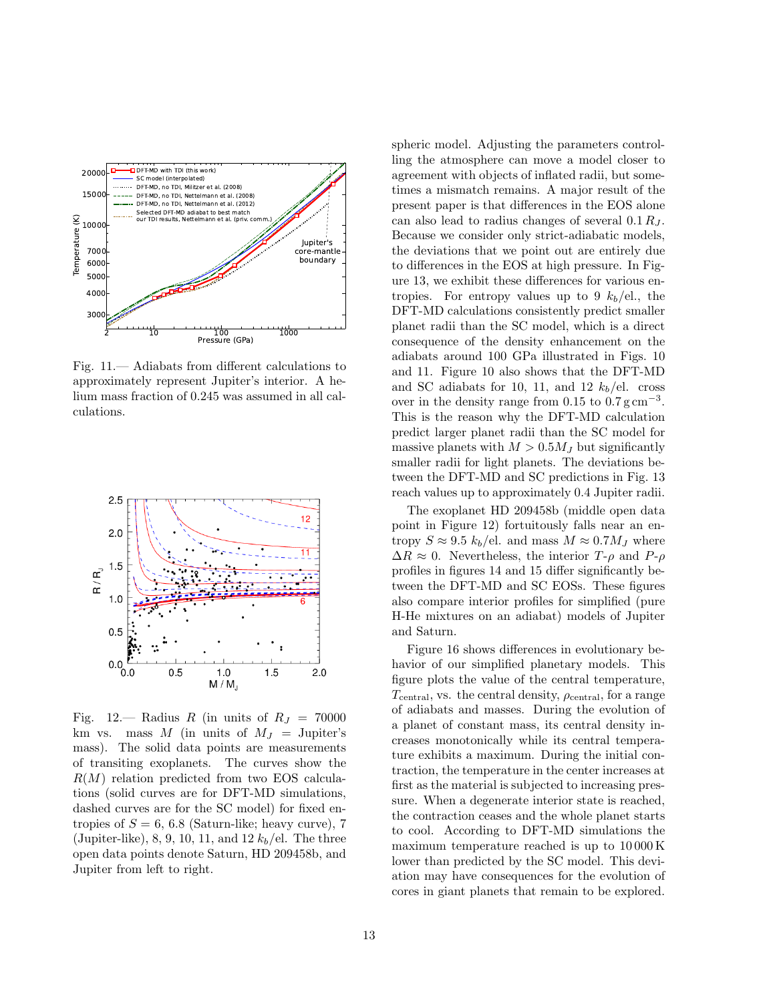

Fig. 11.— Adiabats from different calculations to approximately represent Jupiter's interior. A helium mass fraction of 0.245 was assumed in all calculations.



Fig. 12.— Radius R (in units of  $R_J = 70000$ km vs. mass M (in units of  $M_J =$  Jupiter's mass). The solid data points are measurements of transiting exoplanets. The curves show the  $R(M)$  relation predicted from two EOS calculations (solid curves are for DFT-MD simulations, dashed curves are for the SC model) for fixed entropies of  $S = 6, 6.8$  (Saturn-like; heavy curve), 7 (Jupiter-like), 8, 9, 10, 11, and 12  $k_b$ /el. The three open data points denote Saturn, HD 209458b, and Jupiter from left to right.

spheric model. Adjusting the parameters controlling the atmosphere can move a model closer to agreement with objects of inflated radii, but sometimes a mismatch remains. A major result of the present paper is that differences in the EOS alone can also lead to radius changes of several  $0.1 R<sub>L</sub>$ . Because we consider only strict-adiabatic models, the deviations that we point out are entirely due to differences in the EOS at high pressure. In Figure 13, we exhibit these differences for various entropies. For entropy values up to 9  $k_b$ /el., the DFT-MD calculations consistently predict smaller planet radii than the SC model, which is a direct consequence of the density enhancement on the adiabats around 100 GPa illustrated in Figs. 10 and 11. Figure 10 also shows that the DFT-MD and SC adiabats for 10, 11, and 12  $k_b$ /el. cross over in the density range from  $0.15$  to  $0.7 \text{ g cm}^{-3}$ . This is the reason why the DFT-MD calculation predict larger planet radii than the SC model for massive planets with  $M > 0.5 M_J$  but significantly smaller radii for light planets. The deviations between the DFT-MD and SC predictions in Fig. 13 reach values up to approximately 0.4 Jupiter radii.

The exoplanet HD 209458b (middle open data point in Figure 12) fortuitously falls near an entropy  $S \approx 9.5 \frac{k_b}{e}$ . and mass  $M \approx 0.7 M_J$  where  $\Delta R \approx 0$ . Nevertheless, the interior T- $\rho$  and P- $\rho$ profiles in figures 14 and 15 differ significantly between the DFT-MD and SC EOSs. These figures also compare interior profiles for simplified (pure H-He mixtures on an adiabat) models of Jupiter and Saturn.

Figure 16 shows differences in evolutionary behavior of our simplified planetary models. This figure plots the value of the central temperature,  $T_{\text{central}}$ , vs. the central density,  $\rho_{\text{central}}$ , for a range of adiabats and masses. During the evolution of a planet of constant mass, its central density increases monotonically while its central temperature exhibits a maximum. During the initial contraction, the temperature in the center increases at first as the material is subjected to increasing pressure. When a degenerate interior state is reached, the contraction ceases and the whole planet starts to cool. According to DFT-MD simulations the maximum temperature reached is up to 10 000 K lower than predicted by the SC model. This deviation may have consequences for the evolution of cores in giant planets that remain to be explored.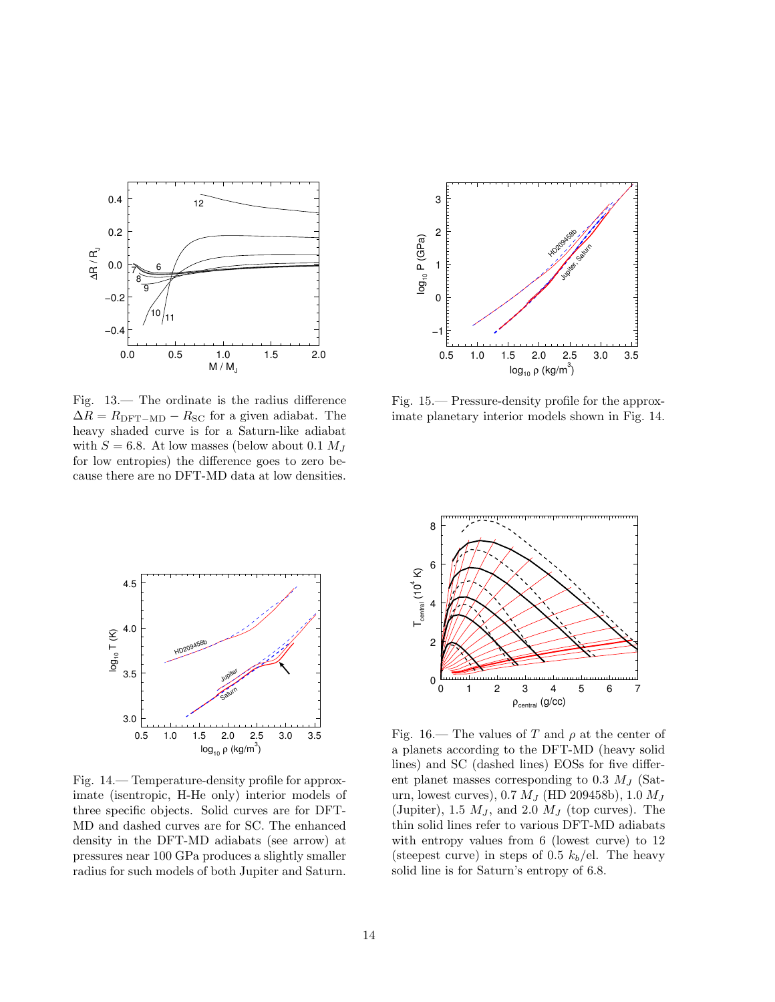

Fig. 13.— The ordinate is the radius difference  $\Delta R = R_{\text{DFT}-\text{MD}} - R_{\text{SC}}$  for a given adiabat. The heavy shaded curve is for a Saturn-like adiabat with  $S = 6.8$ . At low masses (below about 0.1  $M_J$ for low entropies) the difference goes to zero because there are no DFT-MD data at low densities.



Fig. 15.— Pressure-density profile for the approximate planetary interior models shown in Fig. 14.



Fig. 14.— Temperature-density profile for approximate (isentropic, H-He only) interior models of three specific objects. Solid curves are for DFT-MD and dashed curves are for SC. The enhanced density in the DFT-MD adiabats (see arrow) at pressures near 100 GPa produces a slightly smaller radius for such models of both Jupiter and Saturn.



Fig. 16.— The values of T and  $\rho$  at the center of a planets according to the DFT-MD (heavy solid lines) and SC (dashed lines) EOSs for five different planet masses corresponding to 0.3  $M_J$  (Saturn, lowest curves),  $0.7 M_J$  (HD 209458b),  $1.0 M_J$ (Jupiter), 1.5  $M_J$ , and 2.0  $M_J$  (top curves). The thin solid lines refer to various DFT-MD adiabats with entropy values from 6 (lowest curve) to 12 (steepest curve) in steps of 0.5  $k_b$ /el. The heavy solid line is for Saturn's entropy of 6.8.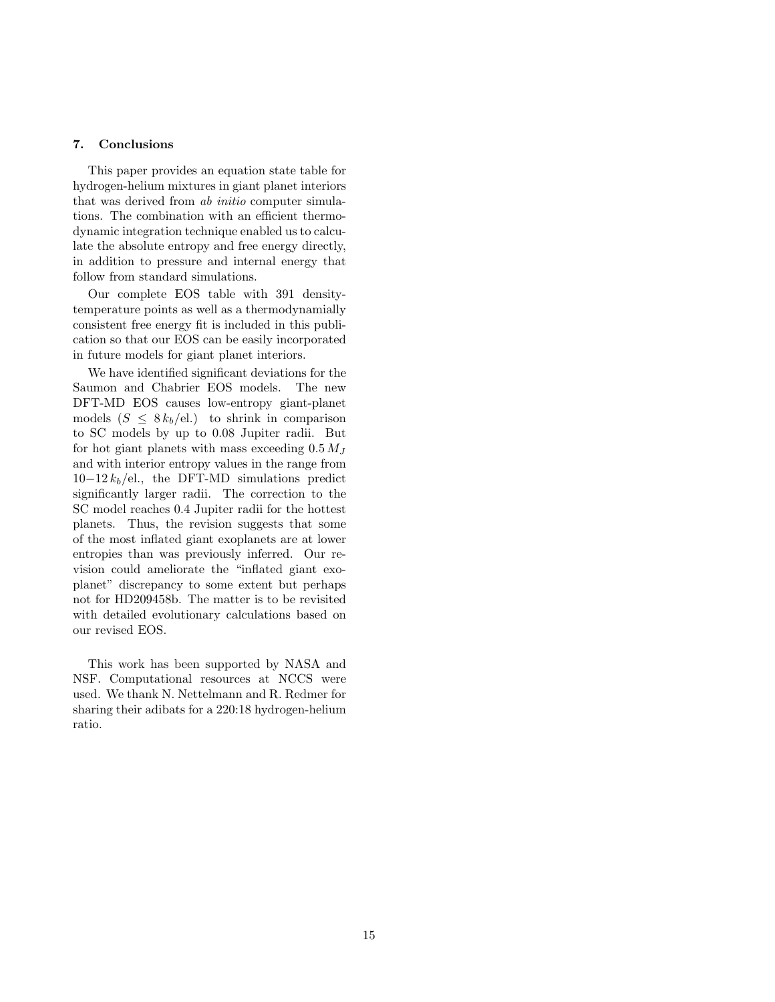## 7. Conclusions

This paper provides an equation state table for hydrogen-helium mixtures in giant planet interiors that was derived from ab initio computer simulations. The combination with an efficient thermodynamic integration technique enabled us to calculate the absolute entropy and free energy directly, in addition to pressure and internal energy that follow from standard simulations.

Our complete EOS table with 391 densitytemperature points as well as a thermodynamially consistent free energy fit is included in this publication so that our EOS can be easily incorporated in future models for giant planet interiors.

We have identified significant deviations for the Saumon and Chabrier EOS models. The new DFT-MD EOS causes low-entropy giant-planet models  $(S \leq 8k_b/\text{el.})$  to shrink in comparison to SC models by up to 0.08 Jupiter radii. But for hot giant planets with mass exceeding  $0.5 M_J$ and with interior entropy values in the range from  $10-12 k_b/e$ l., the DFT-MD simulations predict significantly larger radii. The correction to the SC model reaches 0.4 Jupiter radii for the hottest planets. Thus, the revision suggests that some of the most inflated giant exoplanets are at lower entropies than was previously inferred. Our revision could ameliorate the "inflated giant exoplanet" discrepancy to some extent but perhaps not for HD209458b. The matter is to be revisited with detailed evolutionary calculations based on our revised EOS.

This work has been supported by NASA and NSF. Computational resources at NCCS were used. We thank N. Nettelmann and R. Redmer for sharing their adibats for a 220:18 hydrogen-helium ratio.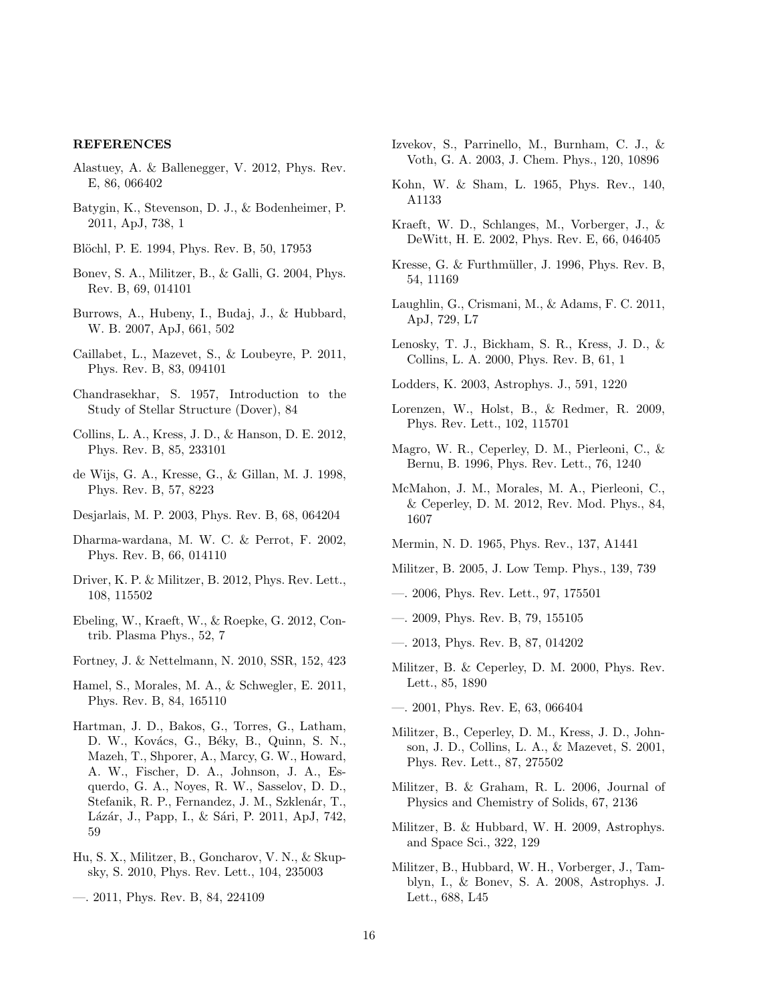### REFERENCES

- Alastuey, A. & Ballenegger, V. 2012, Phys. Rev. E, 86, 066402
- Batygin, K., Stevenson, D. J., & Bodenheimer, P. 2011, ApJ, 738, 1
- Blöchl, P. E. 1994, Phys. Rev. B, 50, 17953
- Bonev, S. A., Militzer, B., & Galli, G. 2004, Phys. Rev. B, 69, 014101
- Burrows, A., Hubeny, I., Budaj, J., & Hubbard, W. B. 2007, ApJ, 661, 502
- Caillabet, L., Mazevet, S., & Loubeyre, P. 2011, Phys. Rev. B, 83, 094101
- Chandrasekhar, S. 1957, Introduction to the Study of Stellar Structure (Dover), 84
- Collins, L. A., Kress, J. D., & Hanson, D. E. 2012, Phys. Rev. B, 85, 233101
- de Wijs, G. A., Kresse, G., & Gillan, M. J. 1998, Phys. Rev. B, 57, 8223
- Desjarlais, M. P. 2003, Phys. Rev. B, 68, 064204
- Dharma-wardana, M. W. C. & Perrot, F. 2002, Phys. Rev. B, 66, 014110
- Driver, K. P. & Militzer, B. 2012, Phys. Rev. Lett., 108, 115502
- Ebeling, W., Kraeft, W., & Roepke, G. 2012, Contrib. Plasma Phys., 52, 7
- Fortney, J. & Nettelmann, N. 2010, SSR, 152, 423
- Hamel, S., Morales, M. A., & Schwegler, E. 2011, Phys. Rev. B, 84, 165110
- Hartman, J. D., Bakos, G., Torres, G., Latham, D. W., Kovács, G., Béky, B., Quinn, S. N., Mazeh, T., Shporer, A., Marcy, G. W., Howard, A. W., Fischer, D. A., Johnson, J. A., Esquerdo, G. A., Noyes, R. W., Sasselov, D. D., Stefanik, R. P., Fernandez, J. M., Szklenár, T., Lázár, J., Papp, I., & Sári, P. 2011, ApJ, 742, 59
- Hu, S. X., Militzer, B., Goncharov, V. N., & Skupsky, S. 2010, Phys. Rev. Lett., 104, 235003
- —. 2011, Phys. Rev. B, 84, 224109
- Izvekov, S., Parrinello, M., Burnham, C. J., & Voth, G. A. 2003, J. Chem. Phys., 120, 10896
- Kohn, W. & Sham, L. 1965, Phys. Rev., 140, A1133
- Kraeft, W. D., Schlanges, M., Vorberger, J., & DeWitt, H. E. 2002, Phys. Rev. E, 66, 046405
- Kresse, G. & Furthmüller, J. 1996, Phys. Rev. B, 54, 11169
- Laughlin, G., Crismani, M., & Adams, F. C. 2011, ApJ, 729, L7
- Lenosky, T. J., Bickham, S. R., Kress, J. D., & Collins, L. A. 2000, Phys. Rev. B, 61, 1
- Lodders, K. 2003, Astrophys. J., 591, 1220
- Lorenzen, W., Holst, B., & Redmer, R. 2009, Phys. Rev. Lett., 102, 115701
- Magro, W. R., Ceperley, D. M., Pierleoni, C., & Bernu, B. 1996, Phys. Rev. Lett., 76, 1240
- McMahon, J. M., Morales, M. A., Pierleoni, C., & Ceperley, D. M. 2012, Rev. Mod. Phys., 84, 1607
- Mermin, N. D. 1965, Phys. Rev., 137, A1441
- Militzer, B. 2005, J. Low Temp. Phys., 139, 739
- —. 2006, Phys. Rev. Lett., 97, 175501
- —. 2009, Phys. Rev. B, 79, 155105
- —. 2013, Phys. Rev. B, 87, 014202
- Militzer, B. & Ceperley, D. M. 2000, Phys. Rev. Lett., 85, 1890
- —. 2001, Phys. Rev. E, 63, 066404
- Militzer, B., Ceperley, D. M., Kress, J. D., Johnson, J. D., Collins, L. A., & Mazevet, S. 2001, Phys. Rev. Lett., 87, 275502
- Militzer, B. & Graham, R. L. 2006, Journal of Physics and Chemistry of Solids, 67, 2136
- Militzer, B. & Hubbard, W. H. 2009, Astrophys. and Space Sci., 322, 129
- Militzer, B., Hubbard, W. H., Vorberger, J., Tamblyn, I., & Bonev, S. A. 2008, Astrophys. J. Lett., 688, L45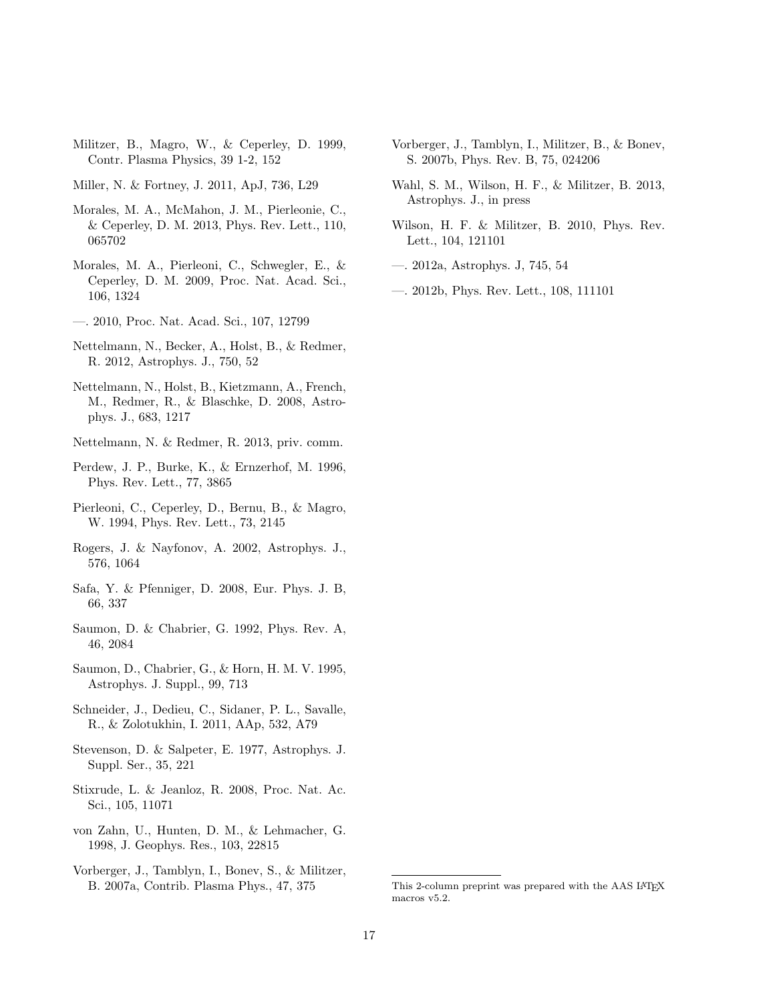- Militzer, B., Magro, W., & Ceperley, D. 1999, Contr. Plasma Physics, 39 1-2, 152
- Miller, N. & Fortney, J. 2011, ApJ, 736, L29
- Morales, M. A., McMahon, J. M., Pierleonie, C., & Ceperley, D. M. 2013, Phys. Rev. Lett., 110, 065702
- Morales, M. A., Pierleoni, C., Schwegler, E., & Ceperley, D. M. 2009, Proc. Nat. Acad. Sci., 106, 1324
- —. 2010, Proc. Nat. Acad. Sci., 107, 12799
- Nettelmann, N., Becker, A., Holst, B., & Redmer, R. 2012, Astrophys. J., 750, 52
- Nettelmann, N., Holst, B., Kietzmann, A., French, M., Redmer, R., & Blaschke, D. 2008, Astrophys. J., 683, 1217
- Nettelmann, N. & Redmer, R. 2013, priv. comm.
- Perdew, J. P., Burke, K., & Ernzerhof, M. 1996, Phys. Rev. Lett., 77, 3865
- Pierleoni, C., Ceperley, D., Bernu, B., & Magro, W. 1994, Phys. Rev. Lett., 73, 2145
- Rogers, J. & Nayfonov, A. 2002, Astrophys. J., 576, 1064
- Safa, Y. & Pfenniger, D. 2008, Eur. Phys. J. B, 66, 337
- Saumon, D. & Chabrier, G. 1992, Phys. Rev. A, 46, 2084
- Saumon, D., Chabrier, G., & Horn, H. M. V. 1995, Astrophys. J. Suppl., 99, 713
- Schneider, J., Dedieu, C., Sidaner, P. L., Savalle, R., & Zolotukhin, I. 2011, AAp, 532, A79
- Stevenson, D. & Salpeter, E. 1977, Astrophys. J. Suppl. Ser., 35, 221
- Stixrude, L. & Jeanloz, R. 2008, Proc. Nat. Ac. Sci., 105, 11071
- von Zahn, U., Hunten, D. M., & Lehmacher, G. 1998, J. Geophys. Res., 103, 22815
- Vorberger, J., Tamblyn, I., Bonev, S., & Militzer, B. 2007a, Contrib. Plasma Phys., 47, 375
- Vorberger, J., Tamblyn, I., Militzer, B., & Bonev, S. 2007b, Phys. Rev. B, 75, 024206
- Wahl, S. M., Wilson, H. F., & Militzer, B. 2013, Astrophys. J., in press
- Wilson, H. F. & Militzer, B. 2010, Phys. Rev. Lett., 104, 121101
- —. 2012a, Astrophys. J, 745, 54
- —. 2012b, Phys. Rev. Lett., 108, 111101

This 2-column preprint was prepared with the AAS LATEX macros v5.2.